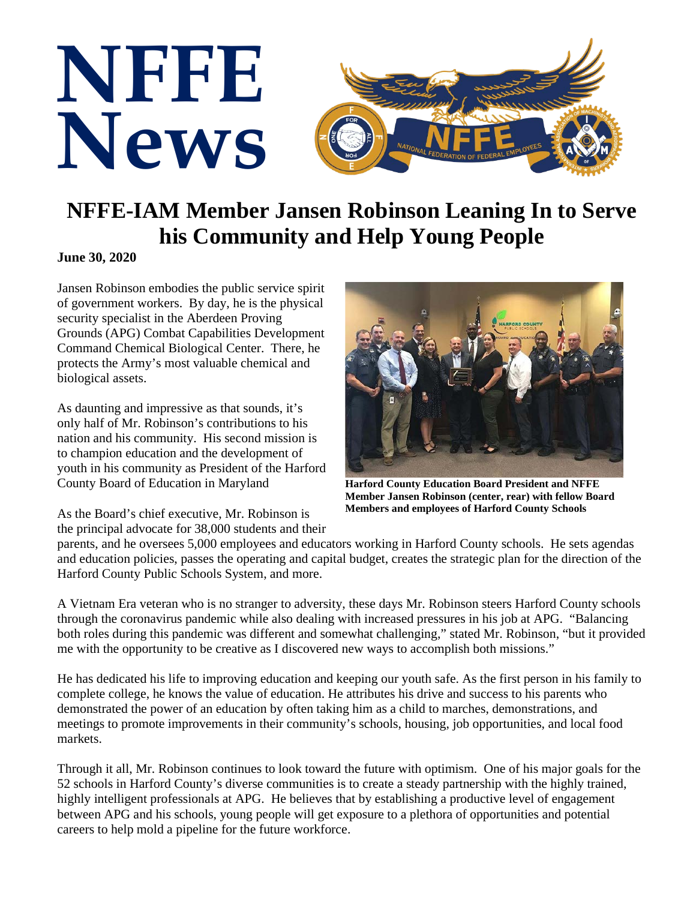

## **NFFE-IAM Member Jansen Robinson Leaning In to Serve his Community and Help Young People**

**June 30, 2020**

Jansen Robinson embodies the public service spirit of government workers. By day, he is the physical security specialist in the Aberdeen Proving Grounds (APG) Combat Capabilities Development Command Chemical Biological Center. There, he protects the Army's most valuable chemical and biological assets.

As daunting and impressive as that sounds, it's only half of Mr. Robinson's contributions to his nation and his community. His second mission is to champion education and the development of youth in his community as President of the Harford County Board of Education in Maryland



**Harford County Education Board President and NFFE Member Jansen Robinson (center, rear) with fellow Board Members and employees of Harford County Schools**

As the Board's chief executive, Mr. Robinson is the principal advocate for 38,000 students and their

parents, and he oversees 5,000 employees and educators working in Harford County schools. He sets agendas and education policies, passes the operating and capital budget, creates the strategic plan for the direction of the Harford County Public Schools System, and more.

A Vietnam Era veteran who is no stranger to adversity, these days Mr. Robinson steers Harford County schools through the coronavirus pandemic while also dealing with increased pressures in his job at APG. "Balancing both roles during this pandemic was different and somewhat challenging," stated Mr. Robinson, "but it provided me with the opportunity to be creative as I discovered new ways to accomplish both missions."

He has dedicated his life to improving education and keeping our youth safe. As the first person in his family to complete college, he knows the value of education. He attributes his drive and success to his parents who demonstrated the power of an education by often taking him as a child to marches, demonstrations, and meetings to promote improvements in their community's schools, housing, job opportunities, and local food markets.

Through it all, Mr. Robinson continues to look toward the future with optimism. One of his major goals for the 52 schools in Harford County's diverse communities is to create a steady partnership with the highly trained, highly intelligent professionals at APG. He believes that by establishing a productive level of engagement between APG and his schools, young people will get exposure to a plethora of opportunities and potential careers to help mold a pipeline for the future workforce.